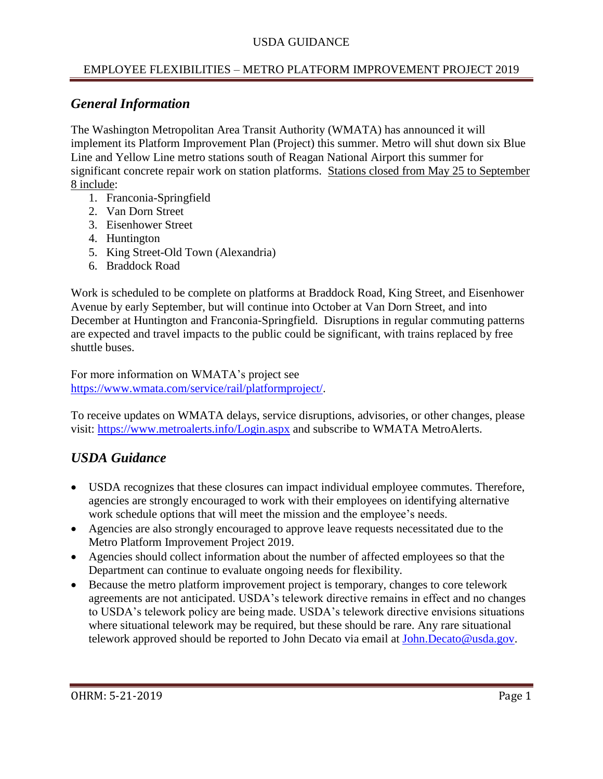## USDA GUIDANCE

## EMPLOYEE FLEXIBILITIES – METRO PLATFORM IMPROVEMENT PROJECT 2019

# *General Information*

The Washington Metropolitan Area Transit Authority (WMATA) has announced it will implement its Platform Improvement Plan (Project) this summer. Metro will shut down six Blue Line and Yellow Line metro stations south of Reagan National Airport this summer for significant concrete repair work on station platforms. Stations closed from May 25 to September 8 include:

- 1. Franconia-Springfield
- 2. Van Dorn Street
- 3. Eisenhower Street
- 4. Huntington
- 5. King Street-Old Town (Alexandria)
- 6. Braddock Road

Work is scheduled to be complete on platforms at Braddock Road, King Street, and Eisenhower Avenue by early September, but will continue into October at Van Dorn Street, and into December at Huntington and Franconia-Springfield. Disruptions in regular commuting patterns are expected and travel impacts to the public could be significant, with trains replaced by free shuttle buses.

For more information on WMATA's project see [https://www.wmata.com/service/rail/platformproject/.](https://www.wmata.com/service/rail/platformproject/)

To receive updates on WMATA delays, service disruptions, advisories, or other changes, please visit:<https://www.metroalerts.info/Login.aspx> and subscribe to WMATA MetroAlerts.

# *USDA Guidance*

- USDA recognizes that these closures can impact individual employee commutes. Therefore, agencies are strongly encouraged to work with their employees on identifying alternative work schedule options that will meet the mission and the employee's needs.
- Agencies are also strongly encouraged to approve leave requests necessitated due to the Metro Platform Improvement Project 2019.
- Agencies should collect information about the number of affected employees so that the Department can continue to evaluate ongoing needs for flexibility.
- Because the metro platform improvement project is temporary, changes to core telework agreements are not anticipated. USDA's telework directive remains in effect and no changes to USDA's telework policy are being made. USDA's telework directive envisions situations where situational telework may be required, but these should be rare. Any rare situational telework approved should be reported to John Decato via email at [John.Decato@usda.gov.](mailto:John.Decato@usda.gov)